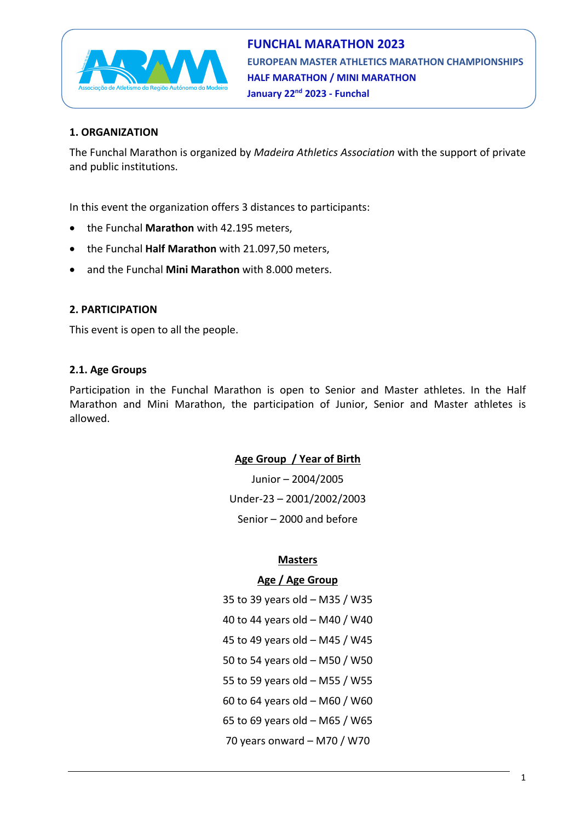

## **1. ORGANIZATION**

The Funchal Marathon is organized by *Madeira Athletics Association* with the support of private and public institutions.

In this event the organization offers 3 distances to participants:

- the Funchal **Marathon** with 42.195 meters,
- the Funchal **Half Marathon** with 21.097,50 meters,
- and the Funchal **Mini Marathon** with 8.000 meters.

### **2. PARTICIPATION**

This event is open to all the people.

### **2.1. Age Groups**

Participation in the Funchal Marathon is open to Senior and Master athletes. In the Half Marathon and Mini Marathon, the participation of Junior, Senior and Master athletes is allowed.

## **Age Group / Year of Birth**

Junior – 2004/2005 Under-23 – 2001/2002/2003 Senior – 2000 and before

### **Masters**

### **Age / Age Group**

35 to 39 years old – M35 / W35 40 to 44 years old – M40 / W40 45 to 49 years old – M45 / W45 50 to 54 years old – M50 / W50 55 to 59 years old – M55 / W55 60 to 64 years old – M60 / W60 65 to 69 years old – M65 / W65 70 years onward – M70 / W70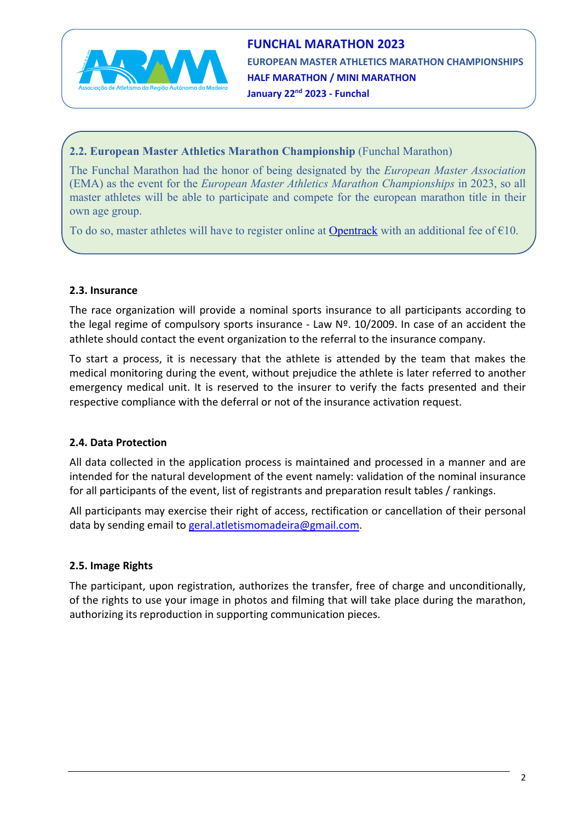

**FUNCHAL MARATHON 2023 EUROPEAN MASTER ATHLETICS MARATHON CHAMPIONSHIPS HALF MARATHON / MINI MARATHON January 22nd 2023 - Funchal**

## **2.2. European Master Athletics Marathon Championship** (Funchal Marathon)

The Funchal Marathon had the honor of being designated by the *European Master Association* (EMA) as the event for the *European Master Athletics Marathon Championships* in 2023, so all master athletes will be able to participate and compete for the european marathon title in their own age group.

To do so, master athletes will have to register online at [Opentrack](https://data.opentrack.run/en-gb/x/2023/PRT/emamarathon/) with an additional fee of  $\epsilon$ 10.

### **2.3. Insurance**

The race organization will provide a nominal sports insurance to all participants according to the legal regime of compulsory sports insurance - Law  $N<sup>2</sup>$ . 10/2009. In case of an accident the athlete should contact the event organization to the referral to the insurance company.

To start a process, it is necessary that the athlete is attended by the team that makes the medical monitoring during the event, without prejudice the athlete is later referred to another emergency medical unit. It is reserved to the insurer to verify the facts presented and their respective compliance with the deferral or not of the insurance activation request.

## **2.4. Data Protection**

All data collected in the application process is maintained and processed in a manner and are intended for the natural development of the event namely: validation of the nominal insurance for all participants of the event, list of registrants and preparation result tables / rankings.

All participants may exercise their right of access, rectification or cancellation of their personal data by sending email to geral.atletismomadeira@gmail.com.

## **2.5. Image Rights**

The participant, upon registration, authorizes the transfer, free of charge and unconditionally, of the rights to use your image in photos and filming that will take place during the marathon, authorizing its reproduction in supporting communication pieces.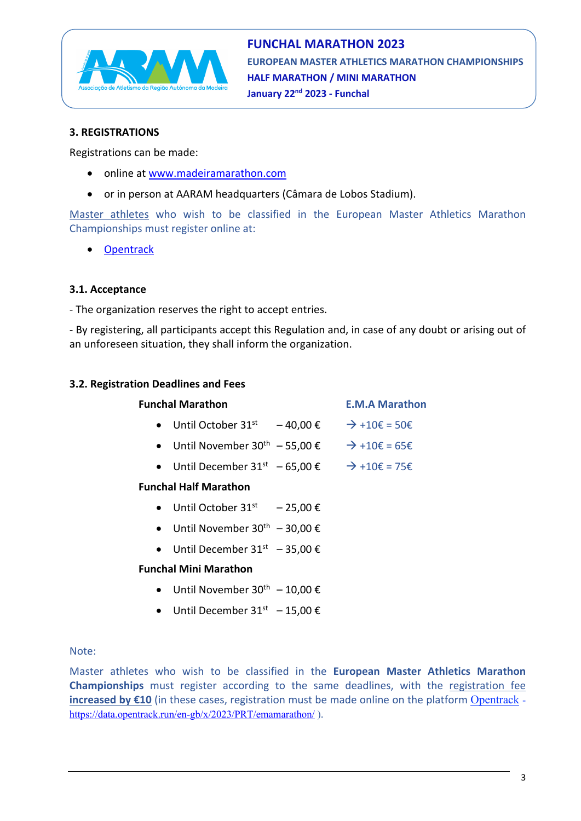

## **3. REGISTRATIONS**

Registrations can be made:

- online at [www.madeiramarathon.com](https://www.madeiramarathon.com/)
- or in person at AARAM headquarters (Câmara de Lobos Stadium).

Master athletes who wish to be classified in the European Master Athletics Marathon Championships must register online at:

• [Opentrack](https://data.opentrack.run/en-gb/x/2023/PRT/emamarathon/)

### **3.1. Acceptance**

- The organization reserves the right to accept entries.

- By registering, all participants accept this Regulation and, in case of any doubt or arising out of an unforeseen situation, they shall inform the organization.

## **3.2. Registration Deadlines and Fees**

| <b>Funchal Marathon</b> |                                |                 | <b>E.M.A Marathon</b>              |
|-------------------------|--------------------------------|-----------------|------------------------------------|
|                         | Until October 31 <sup>st</sup> | $-40.00 \notin$ | $\rightarrow$ +10 $\xi$ = 50 $\xi$ |

- Until November 30<sup>th</sup> 55,00  $\xi \rightarrow +10\xi = 65\xi$
- Until December 31<sup>st</sup> 65,00 €  $\rightarrow$  +10€ = 75€

## **Funchal Half Marathon**

- Until October  $31^{st}$  25,00 €
- Until November  $30^{th}$  30,00 €
- Until December  $31^{st}$  35,00 €

### **Funchal Mini Marathon**

- Until November  $30^{th} 10,00 \in$
- Until December  $31^{st} 15,00 \in$

### Note:

Master athletes who wish to be classified in the **European Master Athletics Marathon Championships** must register according to the same deadlines, with the registration fee **increased by €10** (in these cases, registration must be made online on the platform [Opentrack](https://data.opentrack.run/en-gb/x/2023/PRT/emamarathon/) <https://data.opentrack.run/en-gb/x/2023/PRT/emamarathon/> ).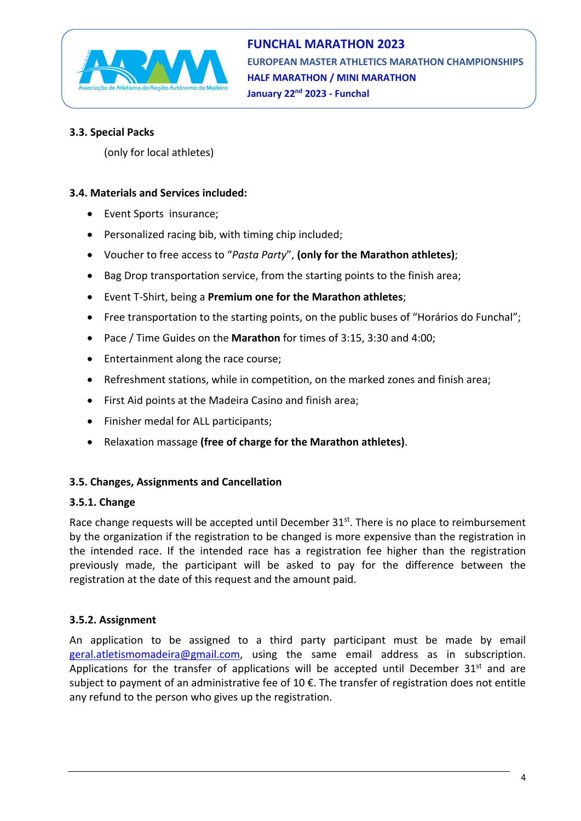

## **3.3. Special Packs**

(only for local athletes)

## **3.4. Materials and Services included:**

- Event Sports insurance;
- Personalized racing bib, with timing chip included;
- Voucher to free access to "*Pasta Party*", **(only for the Marathon athletes)**;
- Bag Drop transportation service, from the starting points to the finish area;
- Event T-Shirt, being a **Premium one for the Marathon athletes**;
- Free transportation to the starting points, on the public buses of "Horários do Funchal";
- Pace / Time Guides on the **Marathon** for times of 3:15, 3:30 and 4:00;
- Entertainment along the race course;
- Refreshment stations, while in competition, on the marked zones and finish area;
- First Aid points at the Madeira Casino and finish area;
- Finisher medal for ALL participants;
- Relaxation massage **(free of charge for the Marathon athletes)**.

# **3.5. Changes, Assignments and Cancellation**

## **3.5.1. Change**

Race change requests will be accepted until December 31<sup>st</sup>. There is no place to reimbursement by the organization if the registration to be changed is more expensive than the registration in the intended race. If the intended race has a registration fee higher than the registration previously made, the participant will be asked to pay for the difference between the registration at the date of this request and the amount paid.

## **3.5.2. Assignment**

An application to be assigned to a third party participant must be made by email geral.atletismomadeira@gmail.com, using the same email address as in subscription. Applications for the transfer of applications will be accepted until December  $31^{st}$  and are subject to payment of an administrative fee of 10 €. The transfer of registration does not entitle any refund to the person who gives up the registration.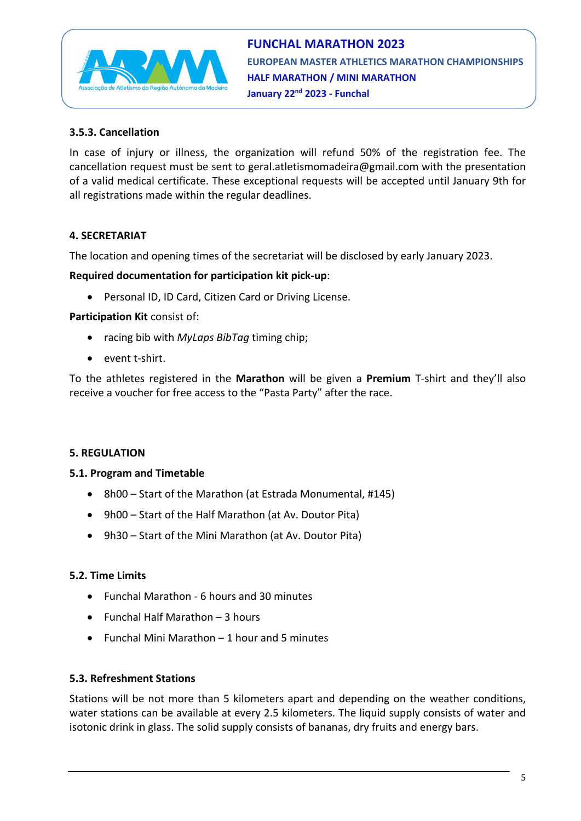

## **3.5.3. Cancellation**

In case of injury or illness, the organization will refund 50% of the registration fee. The cancellation request must be sent to geral.atletismomadeira@gmail.com with the presentation of a valid medical certificate. These exceptional requests will be accepted until January 9th for all registrations made within the regular deadlines.

## **4. SECRETARIAT**

The location and opening times of the secretariat will be disclosed by early January 2023.

### **Required documentation for participation kit pick-up**:

• Personal ID, ID Card, Citizen Card or Driving License.

### **Participation Kit** consist of:

- racing bib with *MyLaps BibTag* timing chip;
- event t-shirt.

To the athletes registered in the **Marathon** will be given a **Premium** T-shirt and they'll also receive a voucher for free access to the "Pasta Party" after the race.

### **5. REGULATION**

### **5.1. Program and Timetable**

- 8h00 Start of the Marathon (at Estrada Monumental, #145)
- 9h00 Start of the Half Marathon (at Av. Doutor Pita)
- 9h30 Start of the Mini Marathon (at Av. Doutor Pita)

### **5.2. Time Limits**

- Funchal Marathon 6 hours and 30 minutes
- Funchal Half Marathon 3 hours
- Funchal Mini Marathon 1 hour and 5 minutes

### **5.3. Refreshment Stations**

Stations will be not more than 5 kilometers apart and depending on the weather conditions, water stations can be available at every 2.5 kilometers. The liquid supply consists of water and isotonic drink in glass. The solid supply consists of bananas, dry fruits and energy bars.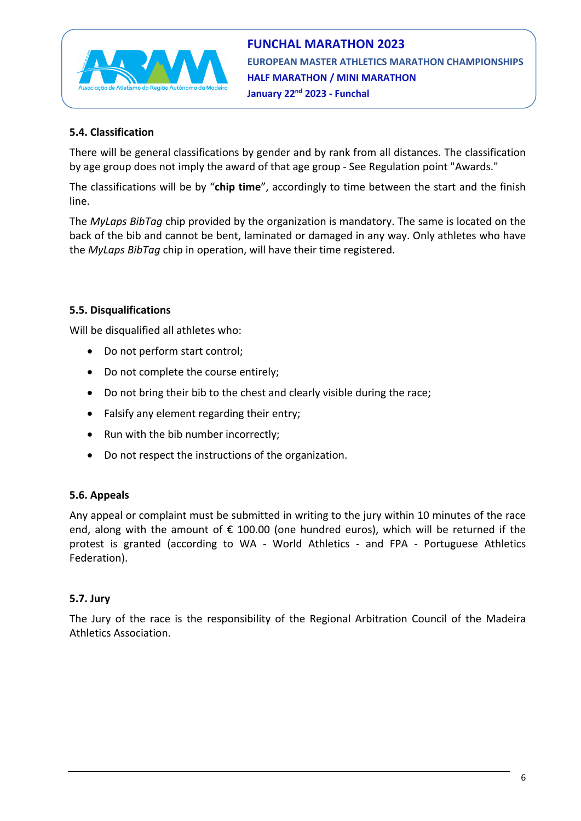

## **5.4. Classification**

There will be general classifications by gender and by rank from all distances. The classification by age group does not imply the award of that age group - See Regulation point "Awards."

The classifications will be by "**chip time**", accordingly to time between the start and the finish line.

The *MyLaps BibTag* chip provided by the organization is mandatory. The same is located on the back of the bib and cannot be bent, laminated or damaged in any way. Only athletes who have the *MyLaps BibTag* chip in operation, will have their time registered.

## **5.5. Disqualifications**

Will be disqualified all athletes who:

- Do not perform start control;
- Do not complete the course entirely;
- Do not bring their bib to the chest and clearly visible during the race;
- Falsify any element regarding their entry;
- Run with the bib number incorrectly;
- Do not respect the instructions of the organization.

### **5.6. Appeals**

Any appeal or complaint must be submitted in writing to the jury within 10 minutes of the race end, along with the amount of  $\epsilon$  100.00 (one hundred euros), which will be returned if the protest is granted (according to WA - World Athletics - and FPA - Portuguese Athletics Federation).

### **5.7. Jury**

The Jury of the race is the responsibility of the Regional Arbitration Council of the Madeira Athletics Association.